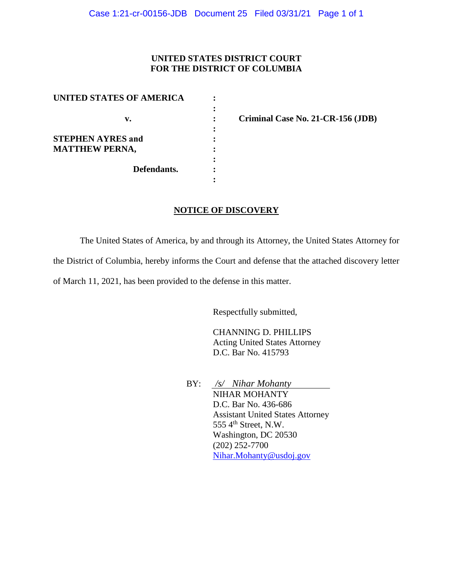## **UNITED STATES DISTRICT COURT FOR THE DISTRICT OF COLUMBIA**

| UNITED STATES OF AMERICA             |  |
|--------------------------------------|--|
|                                      |  |
| v.                                   |  |
|                                      |  |
| <b>STEPHEN AYRES and</b>             |  |
| <b>MATTHEW PERNA,</b><br>Defendants. |  |
|                                      |  |
|                                      |  |
|                                      |  |

**: Criminal Case No. 21-CR-156 (JDB)** 

## **NOTICE OF DISCOVERY**

The United States of America, by and through its Attorney, the United States Attorney for

the District of Columbia, hereby informs the Court and defense that the attached discovery letter

of March 11, 2021, has been provided to the defense in this matter.

Respectfully submitted,

CHANNING D. PHILLIPS Acting United States Attorney D.C. Bar No. 415793

BY: */s/ Nihar Mohanty*  NIHAR MOHANTY D.C. Bar No. 436-686 Assistant United States Attorney 555 4<sup>th</sup> Street, N.W. Washington, DC 20530 (202) 252-7700 Nihar.Mohanty@usdoj.gov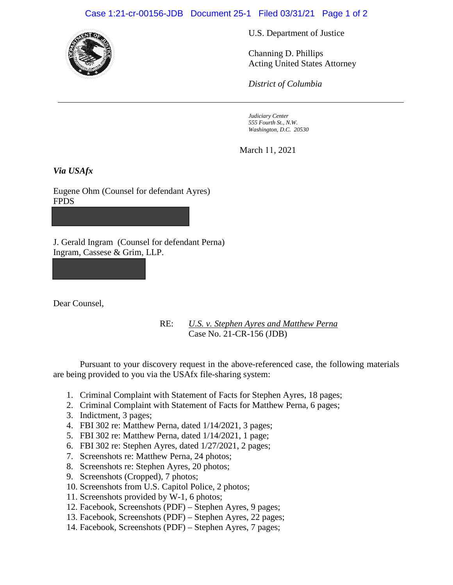## Case 1:21-cr-00156-JDB Document 25-1 Filed 03/31/21 Page 1 of 2



U.S. Department of Justice

Channing D. Phillips Acting United States Attorney

*District of Columbia*

*Judiciary Center 555 Fourth St., N.W. Washington, D.C. 20530*

March 11, 2021

*Via USAfx*

Eugene Ohm (Counsel for defendant Ayres) FPDS

J. Gerald Ingram (Counsel for defendant Perna) Ingram, Cassese & Grim, LLP.

Dear Counsel,

RE: *U.S. v. Stephen Ayres and Matthew Perna*  Case No. 21-CR-156 (JDB)

Pursuant to your discovery request in the above-referenced case, the following materials are being provided to you via the USAfx file-sharing system:

- 1. Criminal Complaint with Statement of Facts for Stephen Ayres, 18 pages;
- 2. Criminal Complaint with Statement of Facts for Matthew Perna, 6 pages;
- 3. Indictment, 3 pages;
- 4. FBI 302 re: Matthew Perna, dated 1/14/2021, 3 pages;
- 5. FBI 302 re: Matthew Perna, dated 1/14/2021, 1 page;
- 6. FBI 302 re: Stephen Ayres, dated 1/27/2021, 2 pages;
- 7. Screenshots re: Matthew Perna, 24 photos;
- 8. Screenshots re: Stephen Ayres, 20 photos;
- 9. Screenshots (Cropped), 7 photos;
- 10. Screenshots from U.S. Capitol Police, 2 photos;
- 11. Screenshots provided by W-1, 6 photos;
- 12. Facebook, Screenshots (PDF) Stephen Ayres, 9 pages;
- 13. Facebook, Screenshots (PDF) Stephen Ayres, 22 pages;
- 14. Facebook, Screenshots (PDF) Stephen Ayres, 7 pages;